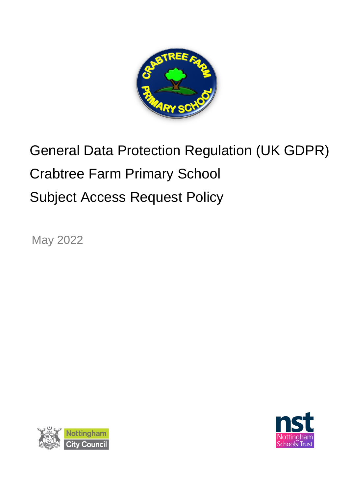

# General Data Protection Regulation (UK GDPR) Crabtree Farm Primary School Subject Access Request Policy

May 2022



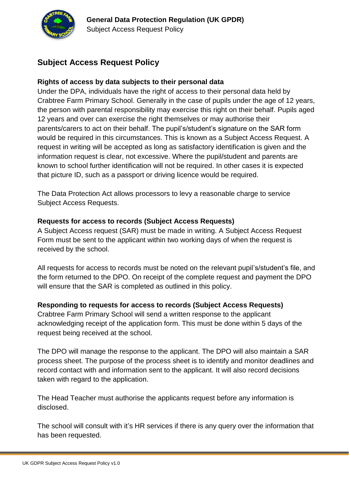

## **Subject Access Request Policy**

#### **Rights of access by data subjects to their personal data**

Under the DPA, individuals have the right of access to their personal data held by Crabtree Farm Primary School. Generally in the case of pupils under the age of 12 years, the person with parental responsibility may exercise this right on their behalf. Pupils aged 12 years and over can exercise the right themselves or may authorise their parents/carers to act on their behalf. The pupil's/student's signature on the SAR form would be required in this circumstances. This is known as a Subject Access Request. A request in writing will be accepted as long as satisfactory identification is given and the information request is clear, not excessive. Where the pupil/student and parents are known to school further identification will not be required. In other cases it is expected that picture ID, such as a passport or driving licence would be required.

The Data Protection Act allows processors to levy a reasonable charge to service Subject Access Requests.

#### **Requests for access to records (Subject Access Requests)**

A Subject Access request (SAR) must be made in writing. A Subject Access Request Form must be sent to the applicant within two working days of when the request is received by the school.

All requests for access to records must be noted on the relevant pupil's/student's file, and the form returned to the DPO. On receipt of the complete request and payment the DPO will ensure that the SAR is completed as outlined in this policy.

#### **Responding to requests for access to records (Subject Access Requests)**

Crabtree Farm Primary School will send a written response to the applicant acknowledging receipt of the application form. This must be done within 5 days of the request being received at the school.

The DPO will manage the response to the applicant. The DPO will also maintain a SAR process sheet. The purpose of the process sheet is to identify and monitor deadlines and record contact with and information sent to the applicant. It will also record decisions taken with regard to the application.

The Head Teacher must authorise the applicants request before any information is disclosed.

The school will consult with it's HR services if there is any query over the information that has been requested.